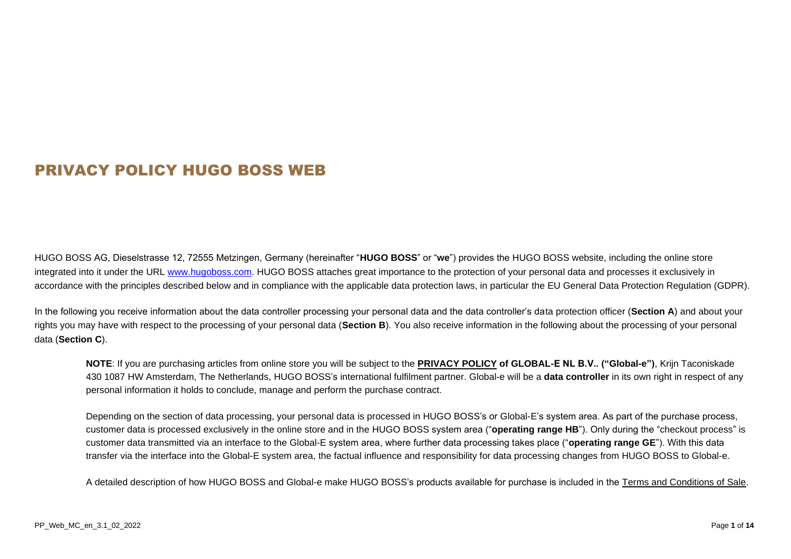# PRIVACY POLICY HUGO BOSS WEB

HUGO BOSS AG, Dieselstrasse 12, 72555 Metzingen, Germany (hereinafter "**HUGO BOSS**" or "**we**") provides the HUGO BOSS website, including the online store integrated into it under the URL [www.hugoboss.com.](file://///stboe-file02.boe.de.star-group.net/shares/DTP/Hugo_Boss/P-0137883_Überarbeitung%20von%20Word%20Dokumenten%20-%20PP%20Web/03_dn/001/_In_Arbeit/www.hugoboss.com) HUGO BOSS attaches great importance to the protection of your personal data and processes it exclusively in accordance with the principles described below and in compliance with the applicable data protection laws, in particular the EU General Data Protection Regulation (GDPR).

In the following you receive information about the data controller processing your personal data and the data controller's data protection officer (**Section [A](#page-2-0)**) and about your rights you may have with respect to the processing of your personal data (**Section [B](#page-3-0)**). You also receive information in the following about the processing of your personal data (**Section [C](#page-4-0)**).

**NOTE**: If you are purchasing articles from online store you will be subject to the **[PRIVACY POLICY](https://globale-prod.s3-eu-west-1.amazonaws.com/GlobaleLegalDocuments/GlobalePrivacyPolicy/Global-e%20Privacy%20Policy.pdf) of GLOBAL-E NL B.V.. ("Global-e")**, Krijn Taconiskade 430 1087 HW Amsterdam, The Netherlands, HUGO BOSS's international fulfilment partner. Global-e will be a **data controller** in its own right in respect of any personal information it holds to conclude, manage and perform the purchase contract.

Depending on the section of data processing, your personal data is processed in HUGO BOSS's or Global-E's system area. As part of the purchase process, customer data is processed exclusively in the online store and in the HUGO BOSS system area ("**operating range HB**"). Only during the "checkout process" is customer data transmitted via an interface to the Global-E system area, where further data processing takes place ("**operating range GE**"). With this data transfer via the interface into the Global-E system area, the factual influence and responsibility for data processing changes from HUGO BOSS to Global-e.

A detailed description of how HUGO BOSS and Global-e make HUGO BOSS's products available for purchase is included in the [Terms and Conditions of Sale.](https://www.hugoboss.com/ad/about-hugo-boss/terms-and-conditions/terms-conditions.html)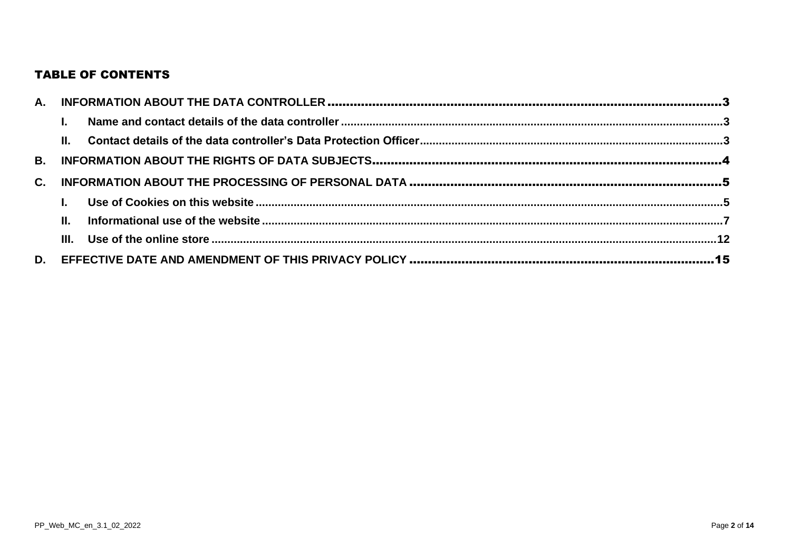# **TABLE OF CONTENTS**

|                | $\mathbf{L}$ |  |
|----------------|--------------|--|
|                |              |  |
|                |              |  |
| $\mathbf{C}$ . |              |  |
|                |              |  |
|                | $\Pi$ .      |  |
|                |              |  |
|                |              |  |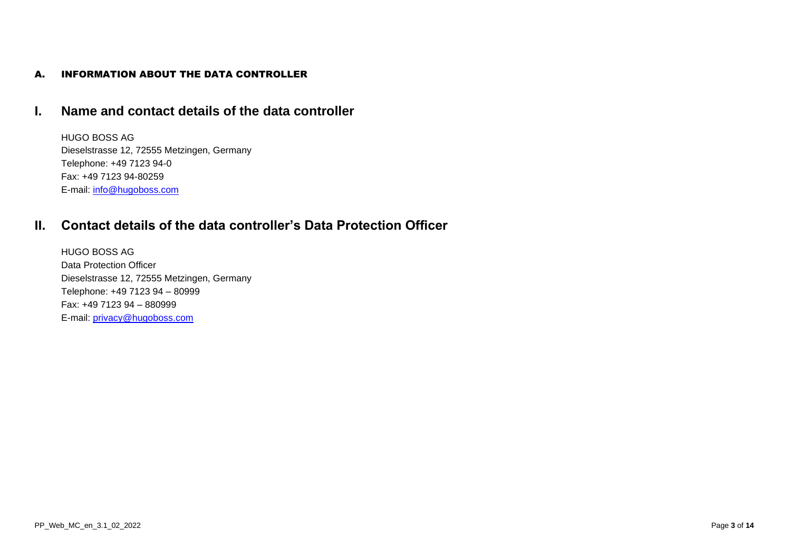### <span id="page-2-0"></span>A. INFORMATION ABOUT THE DATA CONTROLLER

# <span id="page-2-1"></span>**I. Name and contact details of the data controller**

HUGO BOSS AG Dieselstrasse 12, 72555 Metzingen, Germany Telephone: +49 7123 94-0 Fax: +49 7123 94-80259 E-mail: [info@hugoboss.com](mailto:info@hugoboss.com)

# <span id="page-2-2"></span>**II. Contact details of the data controller's Data Protection Officer**

HUGO BOSS AG Data Protection Officer Dieselstrasse 12, 72555 Metzingen, Germany Telephone: +49 7123 94 – 80999 Fax: +49 7123 94 – 880999 E-mail: [privacy@hugoboss.com](mailto:privacy@hugoboss.com)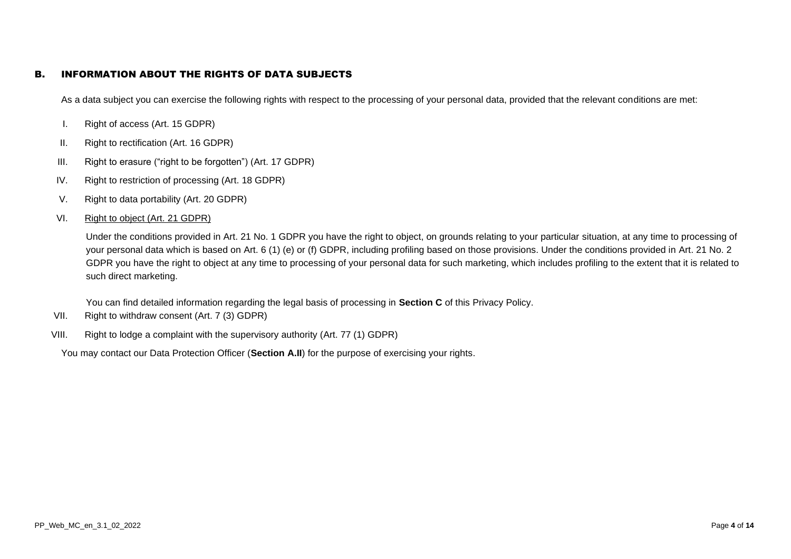### <span id="page-3-0"></span>B. INFORMATION ABOUT THE RIGHTS OF DATA SUBJECTS

As a data subject you can exercise the following rights with respect to the processing of your personal data, provided that the relevant conditions are met:

- I. Right of access (Art. 15 GDPR)
- II. Right to rectification (Art. 16 GDPR)
- III. Right to erasure ("right to be forgotten") (Art. 17 GDPR)
- IV. Right to restriction of processing (Art. 18 GDPR)
- V. Right to data portability (Art. 20 GDPR)
- VI. Right to object (Art. 21 GDPR)

Under the conditions provided in Art. 21 No. 1 GDPR you have the right to object, on grounds relating to your particular situation, at any time to processing of your personal data which is based on Art. 6 (1) (e) or (f) GDPR, including profiling based on those provisions. Under the conditions provided in Art. 21 No. 2 GDPR you have the right to object at any time to processing of your personal data for such marketing, which includes profiling to the extent that it is related to such direct marketing.

You can find detailed information regarding the legal basis of processing in **Section [C](#page-4-0)** of this Privacy Policy.

- VII. Right to withdraw consent (Art. 7 (3) GDPR)
- VIII. Right to lodge a complaint with the supervisory authority (Art. 77 (1) GDPR)

You may contact our Data Protection Officer (**Section [A.II](#page-2-2)**) for the purpose of exercising your rights.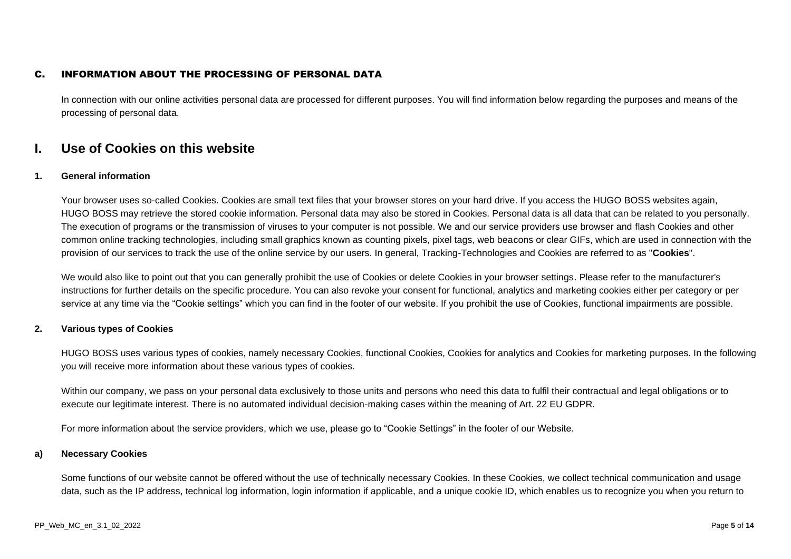### <span id="page-4-0"></span>C. INFORMATION ABOUT THE PROCESSING OF PERSONAL DATA

In connection with our online activities personal data are processed for different purposes. You will find information below regarding the purposes and means of the processing of personal data.

## <span id="page-4-1"></span>**I. Use of Cookies on this website**

#### **1. General information**

Your browser uses so-called Cookies. Cookies are small text files that your browser stores on your hard drive. If you access the HUGO BOSS websites again, HUGO BOSS may retrieve the stored cookie information. Personal data may also be stored in Cookies. Personal data is all data that can be related to you personally. The execution of programs or the transmission of viruses to your computer is not possible. We and our service providers use browser and flash Cookies and other common online tracking technologies, including small graphics known as counting pixels, pixel tags, web beacons or clear GIFs, which are used in connection with the provision of our services to track the use of the online service by our users. In general, Tracking-Technologies and Cookies are referred to as "**Cookies**".

We would also like to point out that you can generally prohibit the use of Cookies or delete Cookies in your browser settings. Please refer to the manufacturer's instructions for further details on the specific procedure. You can also revoke your consent for functional, analytics and marketing cookies either per category or per service at any time via the "Cookie settings" which you can find in the footer of our website. If you prohibit the use of Cookies, functional impairments are possible.

#### **2. Various types of Cookies**

HUGO BOSS uses various types of cookies, namely necessary Cookies, functional Cookies, Cookies for analytics and Cookies for marketing purposes. In the following you will receive more information about these various types of cookies.

Within our company, we pass on your personal data exclusively to those units and persons who need this data to fulfil their contractual and legal obligations or to execute our legitimate interest. There is no automated individual decision-making cases within the meaning of Art. 22 EU GDPR.

For more information about the service providers, which we use, please go to "Cookie Settings" in the footer of our Website.

#### **a) Necessary Cookies**

Some functions of our website cannot be offered without the use of technically necessary Cookies. In these Cookies, we collect technical communication and usage data, such as the IP address, technical log information, login information if applicable, and a unique cookie ID, which enables us to recognize you when you return to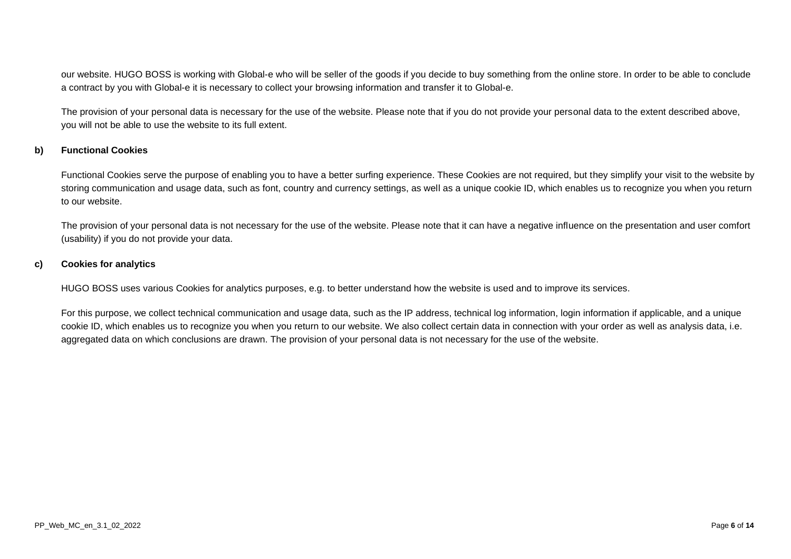our website. HUGO BOSS is working with Global-e who will be seller of the goods if you decide to buy something from the online store. In order to be able to conclude a contract by you with Global-e it is necessary to collect your browsing information and transfer it to Global-e.

The provision of your personal data is necessary for the use of the website. Please note that if you do not provide your personal data to the extent described above, you will not be able to use the website to its full extent.

#### **b) Functional Cookies**

Functional Cookies serve the purpose of enabling you to have a better surfing experience. These Cookies are not required, but they simplify your visit to the website by storing communication and usage data, such as font, country and currency settings, as well as a unique cookie ID, which enables us to recognize you when you return to our website.

The provision of your personal data is not necessary for the use of the website. Please note that it can have a negative influence on the presentation and user comfort (usability) if you do not provide your data.

#### **c) Cookies for analytics**

HUGO BOSS uses various Cookies for analytics purposes, e.g. to better understand how the website is used and to improve its services.

For this purpose, we collect technical communication and usage data, such as the IP address, technical log information, login information if applicable, and a unique cookie ID, which enables us to recognize you when you return to our website. We also collect certain data in connection with your order as well as analysis data, i.e. aggregated data on which conclusions are drawn. The provision of your personal data is not necessary for the use of the website.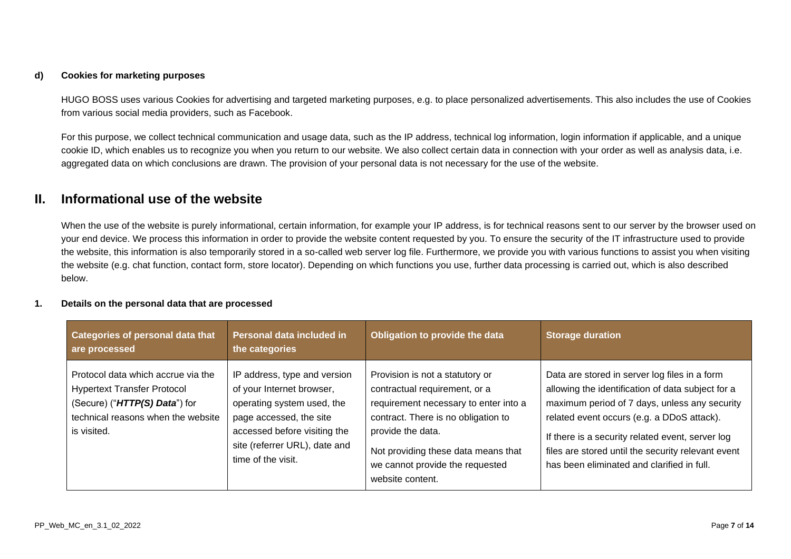#### **d) Cookies for marketing purposes**

HUGO BOSS uses various Cookies for advertising and targeted marketing purposes, e.g. to place personalized advertisements. This also includes the use of Cookies from various social media providers, such as Facebook.

For this purpose, we collect technical communication and usage data, such as the IP address, technical log information, login information if applicable, and a unique cookie ID, which enables us to recognize you when you return to our website. We also collect certain data in connection with your order as well as analysis data, i.e. aggregated data on which conclusions are drawn. The provision of your personal data is not necessary for the use of the website.

# <span id="page-6-0"></span>**II. Informational use of the website**

When the use of the website is purely informational, certain information, for example your IP address, is for technical reasons sent to our server by the browser used on your end device. We process this information in order to provide the website content requested by you. To ensure the security of the IT infrastructure used to provide the website, this information is also temporarily stored in a so-called web server log file. Furthermore, we provide you with various functions to assist you when visiting the website (e.g. chat function, contact form, store locator). Depending on which functions you use, further data processing is carried out, which is also described below.

#### **1. Details on the personal data that are processed**

| <b>Categories of personal data that</b><br>are processed                                                                                                       | Personal data included in<br>the categories                                                                                                                                                               | Obligation to provide the data                                                                                                                                                                                                                                      | <b>Storage duration</b>                                                                                                                                                                                                                                                                                                                                   |
|----------------------------------------------------------------------------------------------------------------------------------------------------------------|-----------------------------------------------------------------------------------------------------------------------------------------------------------------------------------------------------------|---------------------------------------------------------------------------------------------------------------------------------------------------------------------------------------------------------------------------------------------------------------------|-----------------------------------------------------------------------------------------------------------------------------------------------------------------------------------------------------------------------------------------------------------------------------------------------------------------------------------------------------------|
| Protocol data which accrue via the<br><b>Hypertext Transfer Protocol</b><br>(Secure) ("HTTP(S) Data") for<br>technical reasons when the website<br>is visited. | IP address, type and version<br>of your Internet browser,<br>operating system used, the<br>page accessed, the site<br>accessed before visiting the<br>site (referrer URL), date and<br>time of the visit. | Provision is not a statutory or<br>contractual requirement, or a<br>requirement necessary to enter into a<br>contract. There is no obligation to<br>provide the data.<br>Not providing these data means that<br>we cannot provide the requested<br>website content. | Data are stored in server log files in a form<br>allowing the identification of data subject for a<br>maximum period of 7 days, unless any security<br>related event occurs (e.g. a DDoS attack).<br>If there is a security related event, server log<br>files are stored until the security relevant event<br>has been eliminated and clarified in full. |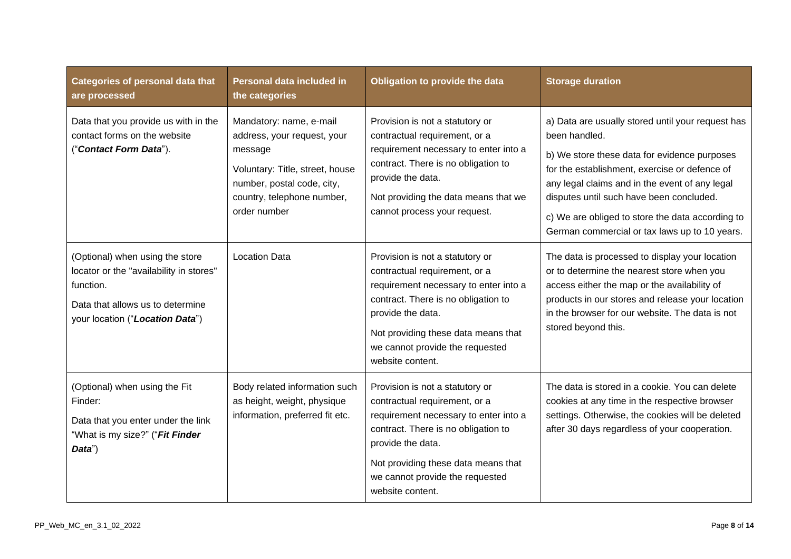| <b>Categories of personal data that</b><br>are processed                                                                                                       | Personal data included in<br>the categories                                                                                                                                      | Obligation to provide the data                                                                                                                                                                                                                                      | <b>Storage duration</b>                                                                                                                                                                                                                                                                                                                                                |
|----------------------------------------------------------------------------------------------------------------------------------------------------------------|----------------------------------------------------------------------------------------------------------------------------------------------------------------------------------|---------------------------------------------------------------------------------------------------------------------------------------------------------------------------------------------------------------------------------------------------------------------|------------------------------------------------------------------------------------------------------------------------------------------------------------------------------------------------------------------------------------------------------------------------------------------------------------------------------------------------------------------------|
| Data that you provide us with in the<br>contact forms on the website<br>("Contact Form Data").                                                                 | Mandatory: name, e-mail<br>address, your request, your<br>message<br>Voluntary: Title, street, house<br>number, postal code, city,<br>country, telephone number,<br>order number | Provision is not a statutory or<br>contractual requirement, or a<br>requirement necessary to enter into a<br>contract. There is no obligation to<br>provide the data.<br>Not providing the data means that we<br>cannot process your request.                       | a) Data are usually stored until your request has<br>been handled.<br>b) We store these data for evidence purposes<br>for the establishment, exercise or defence of<br>any legal claims and in the event of any legal<br>disputes until such have been concluded.<br>c) We are obliged to store the data according to<br>German commercial or tax laws up to 10 years. |
| (Optional) when using the store<br>locator or the "availability in stores"<br>function.<br>Data that allows us to determine<br>your location ("Location Data") | <b>Location Data</b>                                                                                                                                                             | Provision is not a statutory or<br>contractual requirement, or a<br>requirement necessary to enter into a<br>contract. There is no obligation to<br>provide the data.<br>Not providing these data means that<br>we cannot provide the requested<br>website content. | The data is processed to display your location<br>or to determine the nearest store when you<br>access either the map or the availability of<br>products in our stores and release your location<br>in the browser for our website. The data is not<br>stored beyond this.                                                                                             |
| (Optional) when using the Fit<br>Finder:<br>Data that you enter under the link<br>"What is my size?" ("Fit Finder<br>Data")                                    | Body related information such<br>as height, weight, physique<br>information, preferred fit etc.                                                                                  | Provision is not a statutory or<br>contractual requirement, or a<br>requirement necessary to enter into a<br>contract. There is no obligation to<br>provide the data.<br>Not providing these data means that<br>we cannot provide the requested<br>website content. | The data is stored in a cookie. You can delete<br>cookies at any time in the respective browser<br>settings. Otherwise, the cookies will be deleted<br>after 30 days regardless of your cooperation.                                                                                                                                                                   |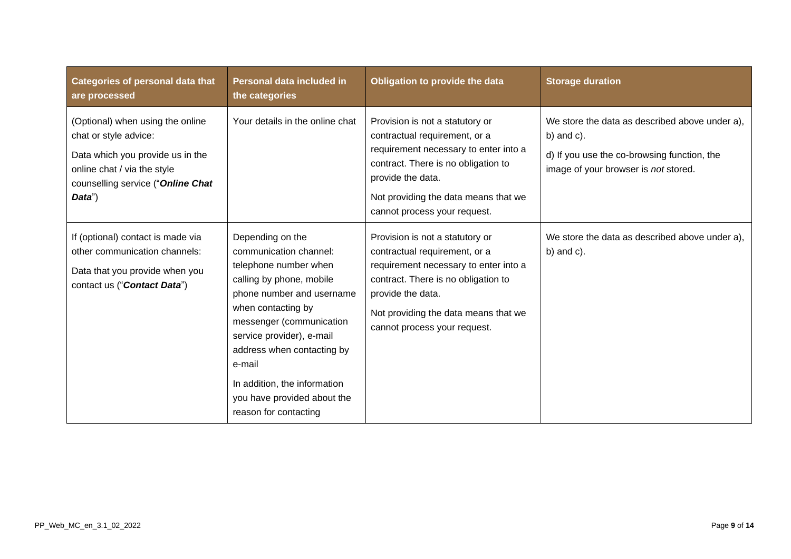| <b>Categories of personal data that</b><br>are processed                                                                                                                    | Personal data included in<br>the categories                                                                                                                                                                                                                                                                                                 | Obligation to provide the data                                                                                                                                                                                                                | <b>Storage duration</b>                                                                                                                                |
|-----------------------------------------------------------------------------------------------------------------------------------------------------------------------------|---------------------------------------------------------------------------------------------------------------------------------------------------------------------------------------------------------------------------------------------------------------------------------------------------------------------------------------------|-----------------------------------------------------------------------------------------------------------------------------------------------------------------------------------------------------------------------------------------------|--------------------------------------------------------------------------------------------------------------------------------------------------------|
| (Optional) when using the online<br>chat or style advice:<br>Data which you provide us in the<br>online chat / via the style<br>counselling service ("Online Chat<br>Data") | Your details in the online chat                                                                                                                                                                                                                                                                                                             | Provision is not a statutory or<br>contractual requirement, or a<br>requirement necessary to enter into a<br>contract. There is no obligation to<br>provide the data.<br>Not providing the data means that we<br>cannot process your request. | We store the data as described above under a),<br>b) and $c$ ).<br>d) If you use the co-browsing function, the<br>image of your browser is not stored. |
| If (optional) contact is made via<br>other communication channels:<br>Data that you provide when you<br>contact us ("Contact Data")                                         | Depending on the<br>communication channel:<br>telephone number when<br>calling by phone, mobile<br>phone number and username<br>when contacting by<br>messenger (communication<br>service provider), e-mail<br>address when contacting by<br>e-mail<br>In addition, the information<br>you have provided about the<br>reason for contacting | Provision is not a statutory or<br>contractual requirement, or a<br>requirement necessary to enter into a<br>contract. There is no obligation to<br>provide the data.<br>Not providing the data means that we<br>cannot process your request. | We store the data as described above under a),<br>$b)$ and $c)$ .                                                                                      |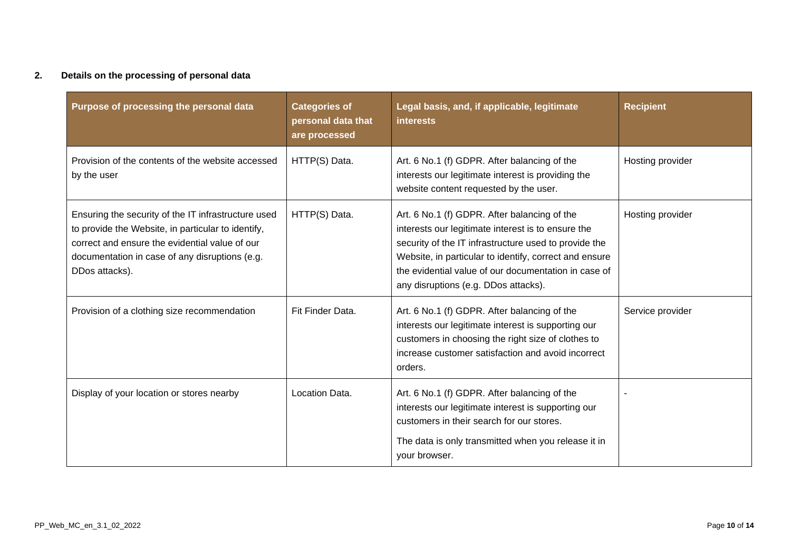### **2. Details on the processing of personal data**

| Purpose of processing the personal data                                                                                                                                                                                         | <b>Categories of</b><br>personal data that<br>are processed | Legal basis, and, if applicable, legitimate<br><b>interests</b>                                                                                                                                                                                                                                                       | <b>Recipient</b> |
|---------------------------------------------------------------------------------------------------------------------------------------------------------------------------------------------------------------------------------|-------------------------------------------------------------|-----------------------------------------------------------------------------------------------------------------------------------------------------------------------------------------------------------------------------------------------------------------------------------------------------------------------|------------------|
| Provision of the contents of the website accessed<br>by the user                                                                                                                                                                | HTTP(S) Data.                                               | Art. 6 No.1 (f) GDPR. After balancing of the<br>interests our legitimate interest is providing the<br>website content requested by the user.                                                                                                                                                                          | Hosting provider |
| Ensuring the security of the IT infrastructure used<br>to provide the Website, in particular to identify,<br>correct and ensure the evidential value of our<br>documentation in case of any disruptions (e.g.<br>DDos attacks). | HTTP(S) Data.                                               | Art. 6 No.1 (f) GDPR. After balancing of the<br>interests our legitimate interest is to ensure the<br>security of the IT infrastructure used to provide the<br>Website, in particular to identify, correct and ensure<br>the evidential value of our documentation in case of<br>any disruptions (e.g. DDos attacks). | Hosting provider |
| Provision of a clothing size recommendation                                                                                                                                                                                     | Fit Finder Data.                                            | Art. 6 No.1 (f) GDPR. After balancing of the<br>interests our legitimate interest is supporting our<br>customers in choosing the right size of clothes to<br>increase customer satisfaction and avoid incorrect<br>orders.                                                                                            | Service provider |
| Display of your location or stores nearby                                                                                                                                                                                       | Location Data.                                              | Art. 6 No.1 (f) GDPR. After balancing of the<br>interests our legitimate interest is supporting our<br>customers in their search for our stores.<br>The data is only transmitted when you release it in<br>your browser.                                                                                              |                  |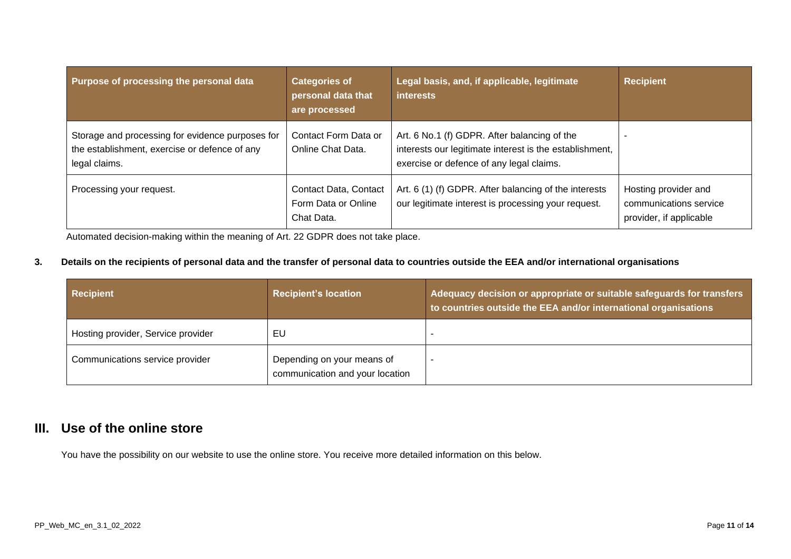| Purpose of processing the personal data                                                                            | <b>Categories of</b><br>personal data that<br>are processed | Legal basis, and, if applicable, legitimate<br><b>interests</b>                                                                                     | <b>Recipient</b>                                                          |
|--------------------------------------------------------------------------------------------------------------------|-------------------------------------------------------------|-----------------------------------------------------------------------------------------------------------------------------------------------------|---------------------------------------------------------------------------|
| Storage and processing for evidence purposes for<br>the establishment, exercise or defence of any<br>legal claims. | Contact Form Data or<br>Online Chat Data.                   | Art. 6 No.1 (f) GDPR. After balancing of the<br>interests our legitimate interest is the establishment,<br>exercise or defence of any legal claims. |                                                                           |
| Processing your request.                                                                                           | Contact Data, Contact<br>Form Data or Online<br>Chat Data.  | Art. 6 (1) (f) GDPR. After balancing of the interests<br>our legitimate interest is processing your request.                                        | Hosting provider and<br>communications service<br>provider, if applicable |

Automated decision-making within the meaning of Art. 22 GDPR does not take place.

## **3. Details on the recipients of personal data and the transfer of personal data to countries outside the EEA and/or international organisations**

| <b>Recipient</b>                   | <b>Recipient's location</b>                                   | Adequacy decision or appropriate or suitable safeguards for transfers<br>to countries outside the EEA and/or international organisations |
|------------------------------------|---------------------------------------------------------------|------------------------------------------------------------------------------------------------------------------------------------------|
| Hosting provider, Service provider | EU                                                            |                                                                                                                                          |
| Communications service provider    | Depending on your means of<br>communication and your location |                                                                                                                                          |

# <span id="page-10-0"></span>**III. Use of the online store**

You have the possibility on our website to use the online store. You receive more detailed information on this below.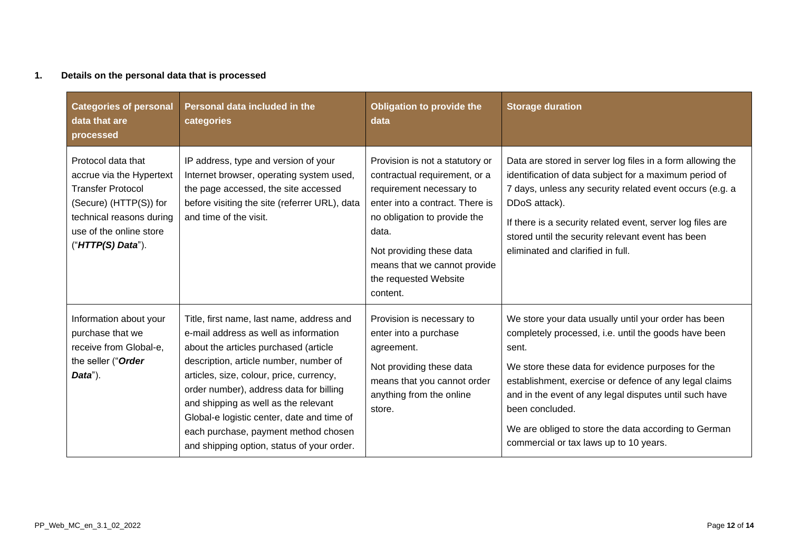### **1. Details on the personal data that is processed**

| <b>Categories of personal</b><br>data that are<br>processed                                                                                                                      | Personal data included in the<br>categories                                                                                                                                                                                                                                                                                                                                                                                              | Obligation to provide the<br>data                                                                                                                                                                                                                                         | <b>Storage duration</b>                                                                                                                                                                                                                                                                                                                                                                                             |
|----------------------------------------------------------------------------------------------------------------------------------------------------------------------------------|------------------------------------------------------------------------------------------------------------------------------------------------------------------------------------------------------------------------------------------------------------------------------------------------------------------------------------------------------------------------------------------------------------------------------------------|---------------------------------------------------------------------------------------------------------------------------------------------------------------------------------------------------------------------------------------------------------------------------|---------------------------------------------------------------------------------------------------------------------------------------------------------------------------------------------------------------------------------------------------------------------------------------------------------------------------------------------------------------------------------------------------------------------|
| Protocol data that<br>accrue via the Hypertext<br><b>Transfer Protocol</b><br>(Secure) (HTTP(S)) for<br>technical reasons during<br>use of the online store<br>("HTTP(S) Data"). | IP address, type and version of your<br>Internet browser, operating system used,<br>the page accessed, the site accessed<br>before visiting the site (referrer URL), data<br>and time of the visit.                                                                                                                                                                                                                                      | Provision is not a statutory or<br>contractual requirement, or a<br>requirement necessary to<br>enter into a contract. There is<br>no obligation to provide the<br>data.<br>Not providing these data<br>means that we cannot provide<br>the requested Website<br>content. | Data are stored in server log files in a form allowing the<br>identification of data subject for a maximum period of<br>7 days, unless any security related event occurs (e.g. a<br>DDoS attack).<br>If there is a security related event, server log files are<br>stored until the security relevant event has been<br>eliminated and clarified in full.                                                           |
| Information about your<br>purchase that we<br>receive from Global-e,<br>the seller ("Order<br>Data").                                                                            | Title, first name, last name, address and<br>e-mail address as well as information<br>about the articles purchased (article<br>description, article number, number of<br>articles, size, colour, price, currency,<br>order number), address data for billing<br>and shipping as well as the relevant<br>Global-e logistic center, date and time of<br>each purchase, payment method chosen<br>and shipping option, status of your order. | Provision is necessary to<br>enter into a purchase<br>agreement.<br>Not providing these data<br>means that you cannot order<br>anything from the online<br>store.                                                                                                         | We store your data usually until your order has been<br>completely processed, i.e. until the goods have been<br>sent.<br>We store these data for evidence purposes for the<br>establishment, exercise or defence of any legal claims<br>and in the event of any legal disputes until such have<br>been concluded.<br>We are obliged to store the data according to German<br>commercial or tax laws up to 10 years. |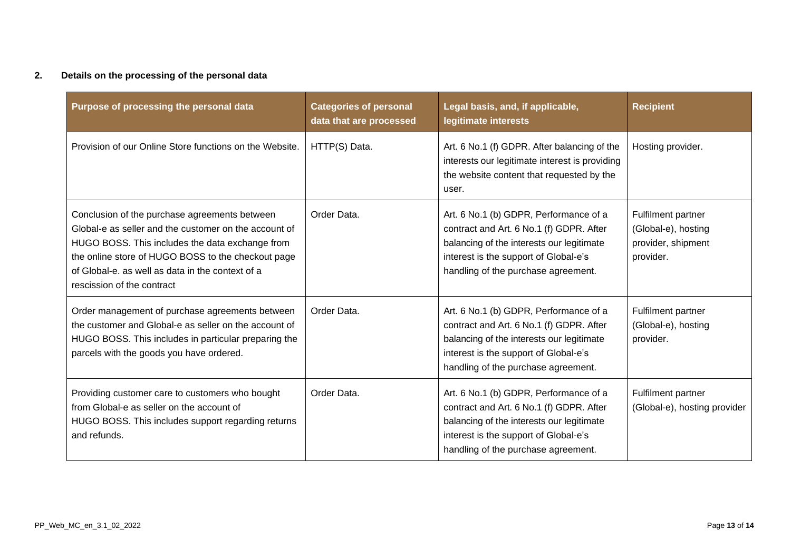### **2. Details on the processing of the personal data**

| Purpose of processing the personal data                                                                                                                                                                                                                                                           | <b>Categories of personal</b><br>data that are processed | Legal basis, and, if applicable,<br>legitimate interests                                                                                                                                                        | <b>Recipient</b>                                                             |
|---------------------------------------------------------------------------------------------------------------------------------------------------------------------------------------------------------------------------------------------------------------------------------------------------|----------------------------------------------------------|-----------------------------------------------------------------------------------------------------------------------------------------------------------------------------------------------------------------|------------------------------------------------------------------------------|
| Provision of our Online Store functions on the Website.                                                                                                                                                                                                                                           | HTTP(S) Data.                                            | Art. 6 No.1 (f) GDPR. After balancing of the<br>interests our legitimate interest is providing<br>the website content that requested by the<br>user.                                                            | Hosting provider.                                                            |
| Conclusion of the purchase agreements between<br>Global-e as seller and the customer on the account of<br>HUGO BOSS. This includes the data exchange from<br>the online store of HUGO BOSS to the checkout page<br>of Global-e, as well as data in the context of a<br>rescission of the contract | Order Data.                                              | Art. 6 No.1 (b) GDPR, Performance of a<br>contract and Art. 6 No.1 (f) GDPR. After<br>balancing of the interests our legitimate<br>interest is the support of Global-e's<br>handling of the purchase agreement. | Fulfilment partner<br>(Global-e), hosting<br>provider, shipment<br>provider. |
| Order management of purchase agreements between<br>the customer and Global-e as seller on the account of<br>HUGO BOSS. This includes in particular preparing the<br>parcels with the goods you have ordered.                                                                                      | Order Data.                                              | Art. 6 No.1 (b) GDPR, Performance of a<br>contract and Art. 6 No.1 (f) GDPR. After<br>balancing of the interests our legitimate<br>interest is the support of Global-e's<br>handling of the purchase agreement. | Fulfilment partner<br>(Global-e), hosting<br>provider.                       |
| Providing customer care to customers who bought<br>from Global-e as seller on the account of<br>HUGO BOSS. This includes support regarding returns<br>and refunds.                                                                                                                                | Order Data.                                              | Art. 6 No.1 (b) GDPR, Performance of a<br>contract and Art. 6 No.1 (f) GDPR. After<br>balancing of the interests our legitimate<br>interest is the support of Global-e's<br>handling of the purchase agreement. | Fulfilment partner<br>(Global-e), hosting provider                           |